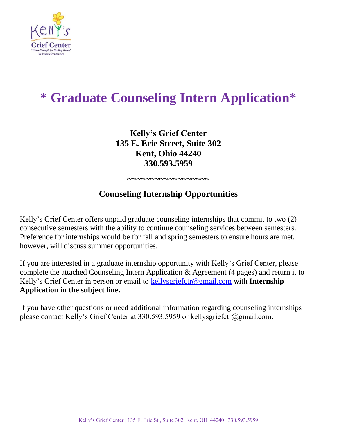

# **\* Graduate Counseling Intern Application\***

**Kelly's Grief Center 135 E. Erie Street, Suite 302 Kent, Ohio 44240 330.593.5959**

# **Counseling Internship Opportunities**

**~~~~~~~~~~~~~~~~~~** 

Kelly's Grief Center offers unpaid graduate counseling internships that commit to two (2) consecutive semesters with the ability to continue counseling services between semesters. Preference for internships would be for fall and spring semesters to ensure hours are met, however, will discuss summer opportunities.

If you are interested in a graduate internship opportunity with Kelly's Grief Center, please complete the attached Counseling Intern Application & Agreement (4 pages) and return it to Kelly's Grief Center in person or email to [kellysgriefctr@gmail.com](mailto:kellysgriefctr@gmail.com) with **Internship Application in the subject line.**

If you have other questions or need additional information regarding counseling internships please contact Kelly's Grief Center at 330.593.5959 or kellysgriefctr@gmail.com.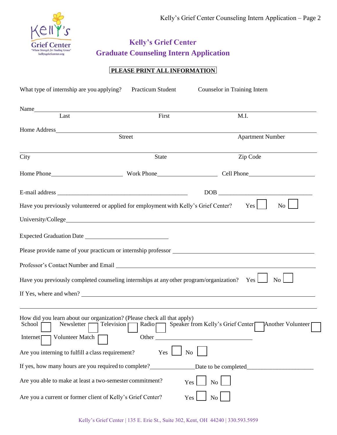

## **Kelly's Grief Center Graduate Counseling Intern Application**

## **PLEASE PRINT ALL INFORMATION**

| What type of internship are you applying?                                                                                                                                                                                      | Practicum Student                                                                                                   | Counselor in Training Intern                                                            |
|--------------------------------------------------------------------------------------------------------------------------------------------------------------------------------------------------------------------------------|---------------------------------------------------------------------------------------------------------------------|-----------------------------------------------------------------------------------------|
| Name and the state of the state of the state of the state of the state of the state of the state of the state of the state of the state of the state of the state of the state of the state of the state of the state of the s |                                                                                                                     |                                                                                         |
| Last                                                                                                                                                                                                                           | First                                                                                                               | M.I.                                                                                    |
|                                                                                                                                                                                                                                |                                                                                                                     |                                                                                         |
|                                                                                                                                                                                                                                | <b>Street</b>                                                                                                       | <b>Apartment Number</b>                                                                 |
| City                                                                                                                                                                                                                           | State                                                                                                               | Zip Code                                                                                |
|                                                                                                                                                                                                                                |                                                                                                                     |                                                                                         |
|                                                                                                                                                                                                                                |                                                                                                                     | $\boxed{\text{DOB}}_{\text{max}}$                                                       |
|                                                                                                                                                                                                                                | Have you previously volunteered or applied for employment with Kelly's Grief Center?                                | Yes  <br>No                                                                             |
|                                                                                                                                                                                                                                |                                                                                                                     |                                                                                         |
|                                                                                                                                                                                                                                |                                                                                                                     |                                                                                         |
|                                                                                                                                                                                                                                |                                                                                                                     |                                                                                         |
|                                                                                                                                                                                                                                | Professor's Contact Number and Email League and Email Contact Number and Email League and Email Contact August 2014 |                                                                                         |
|                                                                                                                                                                                                                                | Have you previously completed counseling internships at any other program/organization? Yes                         | No                                                                                      |
|                                                                                                                                                                                                                                |                                                                                                                     |                                                                                         |
|                                                                                                                                                                                                                                |                                                                                                                     |                                                                                         |
| School [                                                                                                                                                                                                                       | How did you learn about our organization? (Please check all that apply)                                             | Newsletter   Television   Radio   Speaker from Kelly's Grief Center   Another Volunteer |
| Volunteer Match<br>Internet $\Gamma$                                                                                                                                                                                           | Other                                                                                                               |                                                                                         |
| Are you interning to fulfill a class requirement?                                                                                                                                                                              | Yes<br>N <sub>o</sub>                                                                                               |                                                                                         |
| If yes, how many hours are you required to complete?                                                                                                                                                                           |                                                                                                                     | Date to be completed                                                                    |
| Are you able to make at least a two-semester commitment?                                                                                                                                                                       | Yes                                                                                                                 | No                                                                                      |
| Are you a current or former client of Kelly's Grief Center?                                                                                                                                                                    | Yes                                                                                                                 | No                                                                                      |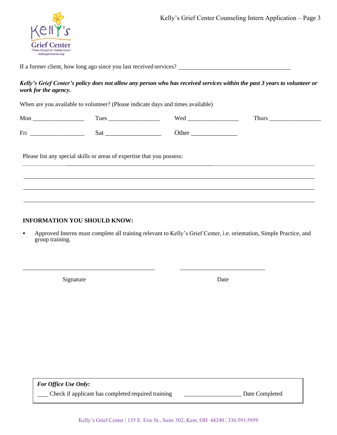

If a former client, how long ago since you last received services?

#### *Kelly's Grief Center's policy does not allow any person who has received services within the past 3 years to volunteer or work for the agency.*

When are you available to volunteer? (Please indicate days and times available)

| Mon | Tues | Wed   | . hurs |
|-----|------|-------|--------|
|     |      |       |        |
| Fri | sai  | )ther |        |

Please list any special skills or areas of expertise that you possess:

### **INFORMATION YOU SHOULD KNOW:**

Approved Interns must complete all training relevant to Kelly's Grief Center, i.e. orientation, Simple Practice, and group training.

Signature Date

*For Office Use Only:*

Check if applicant has completed required training \_\_\_\_\_\_\_\_\_\_\_\_\_\_\_\_\_\_\_ Date Completed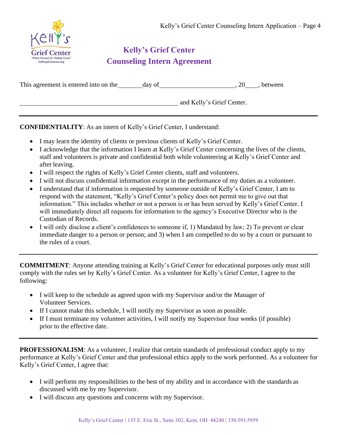

# **Kelly's Grief Center Counseling Intern Agreement**

| This agreement is entered into on the | day of |                           | between. |
|---------------------------------------|--------|---------------------------|----------|
|                                       |        | and Kelly's Grief Center. |          |

**CONFIDENTIALITY**: As an intern of Kelly's Grief Center, I understand:

- I may learn the identity of clients or previous clients of Kelly's Grief Center.
- I acknowledge that the information I learn at Kelly's Grief Center concerning the lives of the clients, staff and volunteers is private and confidential both while volunteering at Kelly's Grief Center and after leaving.
- I will respect the rights of Kelly's Grief Center clients, staff and volunteers.
- I will not discuss confidential information except in the performance of my duties as a volunteer.
- I understand that if information is requested by someone outside of Kelly's Grief Center, I am to respond with the statement, "Kelly's Grief Center's policy does not permit me to give out that information." This includes whether or not a person is or has been served by Kelly's Grief Center. I will immediately direct all requests for information to the agency's Executive Director who is the Custodian of Records.
- I will only disclose a client's confidences to someone if, 1) Mandated by law; 2) To prevent or clear immediate danger to a person or person; and 3) when I am compelled to do so by a court or pursuant to the rules of a court.

**COMMITMENT**: Anyone attending training at Kelly's Grief Center for educational purposes only must still comply with the rules set by Kelly's Grief Center. As a volunteer for Kelly's Grief Center, I agree to the following:

- I will keep to the schedule as agreed upon with my Supervisor and/or the Manager of Volunteer Services.
- If I cannot make this schedule, I will notify my Supervisor as soon as possible.
- If I must terminate my volunteer activities, I will notify my Supervisor four weeks (if possible) prior to the effective date.

**PROFESSIONALISM**: As a volunteer, I realize that certain standards of professional conduct apply to my performance at Kelly's Grief Center and that professional ethics apply to the work performed. As a volunteer for Kelly's Grief Center, I agree that:

- I will perform my responsibilities to the best of my ability and in accordance with the standards as discussed with me by my Supervisor.
- I will discuss any questions and concerns with my Supervisor.